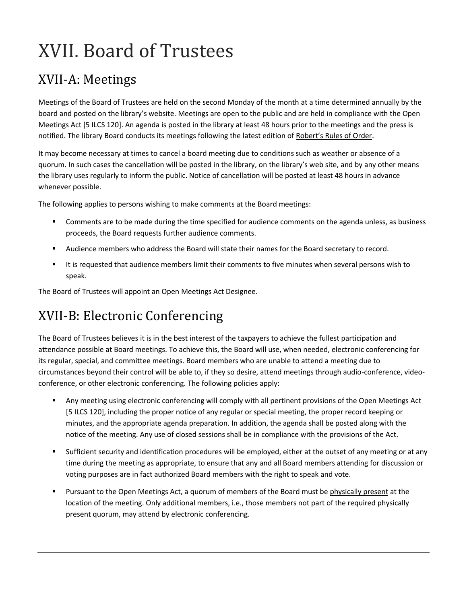# XVII. Board of Trustees

## XVII-A: Meetings

Meetings of the Board of Trustees are held on the second Monday of the month at a time determined annually by the board and posted on the library's website. Meetings are open to the public and are held in compliance with the Open Meetings Act [5 ILCS 120]. An agenda is posted in the library at least 48 hours prior to the meetings and the press is notified. The library Board conducts its meetings following the latest edition of Robert's Rules of Order.

It may become necessary at times to cancel a board meeting due to conditions such as weather or absence of a quorum. In such cases the cancellation will be posted in the library, on the library's web site, and by any other means the library uses regularly to inform the public. Notice of cancellation will be posted at least 48 hours in advance whenever possible.

The following applies to persons wishing to make comments at the Board meetings:

- Comments are to be made during the time specified for audience comments on the agenda unless, as business proceeds, the Board requests further audience comments.
- Audience members who address the Board will state their names for the Board secretary to record.
- It is requested that audience members limit their comments to five minutes when several persons wish to speak.

The Board of Trustees will appoint an Open Meetings Act Designee.

## XVII-B: Electronic Conferencing

The Board of Trustees believes it is in the best interest of the taxpayers to achieve the fullest participation and attendance possible at Board meetings. To achieve this, the Board will use, when needed, electronic conferencing for its regular, special, and committee meetings. Board members who are unable to attend a meeting due to circumstances beyond their control will be able to, if they so desire, attend meetings through audio-conference, videoconference, or other electronic conferencing. The following policies apply:

- Any meeting using electronic conferencing will comply with all pertinent provisions of the Open Meetings Act [5 ILCS 120], including the proper notice of any regular or special meeting, the proper record keeping or minutes, and the appropriate agenda preparation. In addition, the agenda shall be posted along with the notice of the meeting. Any use of closed sessions shall be in compliance with the provisions of the Act.
- Sufficient security and identification procedures will be employed, either at the outset of any meeting or at any time during the meeting as appropriate, to ensure that any and all Board members attending for discussion or voting purposes are in fact authorized Board members with the right to speak and vote.
- Pursuant to the Open Meetings Act, a quorum of members of the Board must be physically present at the location of the meeting. Only additional members, i.e., those members not part of the required physically present quorum, may attend by electronic conferencing.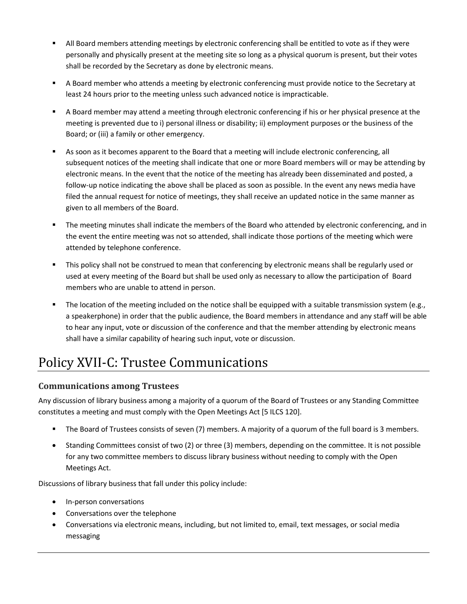- All Board members attending meetings by electronic conferencing shall be entitled to vote as if they were personally and physically present at the meeting site so long as a physical quorum is present, but their votes shall be recorded by the Secretary as done by electronic means.
- A Board member who attends a meeting by electronic conferencing must provide notice to the Secretary at least 24 hours prior to the meeting unless such advanced notice is impracticable.
- A Board member may attend a meeting through electronic conferencing if his or her physical presence at the meeting is prevented due to i) personal illness or disability; ii) employment purposes or the business of the Board; or (iii) a family or other emergency.
- As soon as it becomes apparent to the Board that a meeting will include electronic conferencing, all subsequent notices of the meeting shall indicate that one or more Board members will or may be attending by electronic means. In the event that the notice of the meeting has already been disseminated and posted, a follow-up notice indicating the above shall be placed as soon as possible. In the event any news media have filed the annual request for notice of meetings, they shall receive an updated notice in the same manner as given to all members of the Board.
- The meeting minutes shall indicate the members of the Board who attended by electronic conferencing, and in the event the entire meeting was not so attended, shall indicate those portions of the meeting which were attended by telephone conference.
- This policy shall not be construed to mean that conferencing by electronic means shall be regularly used or used at every meeting of the Board but shall be used only as necessary to allow the participation of Board members who are unable to attend in person.
- The location of the meeting included on the notice shall be equipped with a suitable transmission system (e.g., a speakerphone) in order that the public audience, the Board members in attendance and any staff will be able to hear any input, vote or discussion of the conference and that the member attending by electronic means shall have a similar capability of hearing such input, vote or discussion.

# Policy XVII-C: Trustee Communications

### **Communications among Trustees**

Any discussion of library business among a majority of a quorum of the Board of Trustees or any Standing Committee constitutes a meeting and must comply with the Open Meetings Act [5 ILCS 120].

- The Board of Trustees consists of seven (7) members. A majority of a quorum of the full board is 3 members.
- Standing Committees consist of two (2) or three (3) members, depending on the committee. It is not possible for any two committee members to discuss library business without needing to comply with the Open Meetings Act.

Discussions of library business that fall under this policy include:

- In-person conversations
- Conversations over the telephone
- Conversations via electronic means, including, but not limited to, email, text messages, or social media messaging